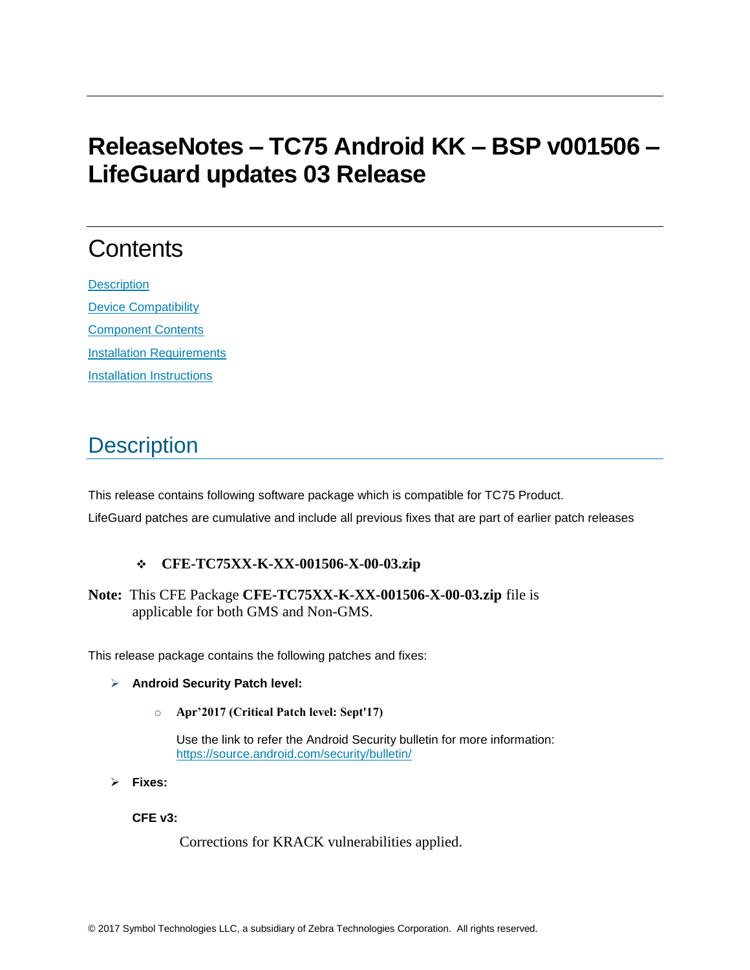# **ReleaseNotes – TC75 Android KK – BSP v001506 – LifeGuard updates 03 Release**

# **Contents**

**[Description](#page-0-0)** [Device Compatibility](#page-1-0) [Component Contents](#page-2-0) [Installation Requirements](#page-3-0) **[Installation Instructions](#page-3-1)** 

### <span id="page-0-0"></span>**Description**

This release contains following software package which is compatible for TC75 Product. LifeGuard patches are cumulative and include all previous fixes that are part of earlier patch releases

#### ❖ **CFE-TC75XX-K-XX-001506-X-00-03.zip**

**Note:** This CFE Package **CFE-TC75XX-K-XX-001506-X-00-03.zip** file is applicable for both GMS and Non-GMS.

This release package contains the following patches and fixes:

#### ➢ **Android Security Patch level:**

o **Apr'2017 (Critical Patch level: Sept'17)**

Use the link to refer the Android Security bulletin for more information: <https://source.android.com/security/bulletin/>

➢ **Fixes:**

**CFE v3:**

Corrections for KRACK vulnerabilities applied.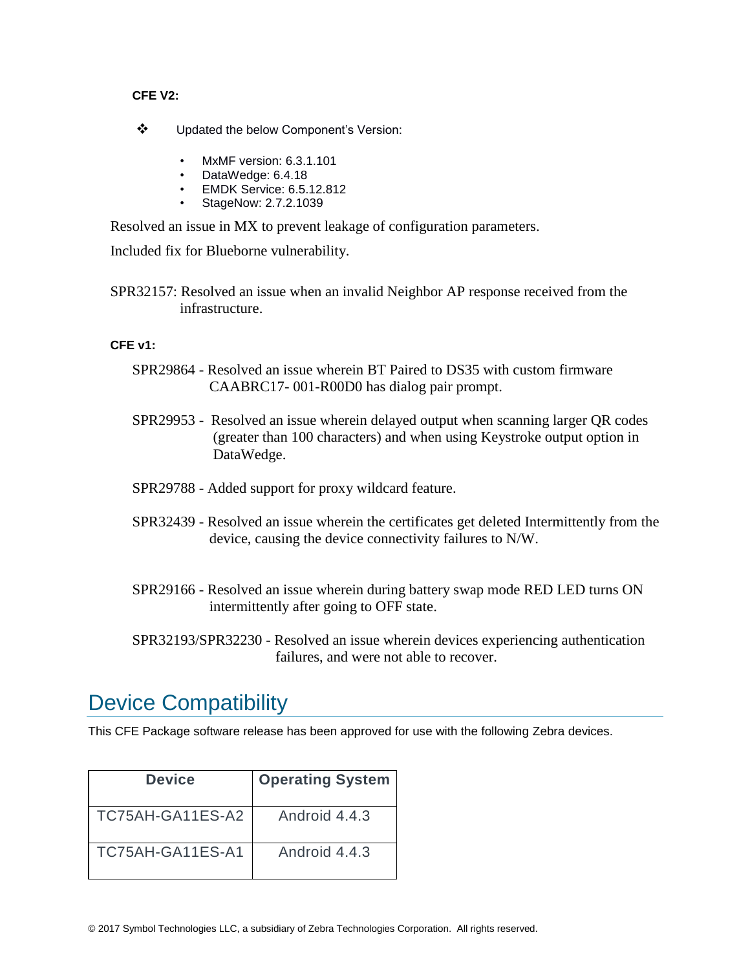#### **CFE V2:**

- ❖ Updated the below Component's Version:
	- MxMF version: 6.3.1.101
	- DataWedge: 6.4.18
	- EMDK Service: 6.5.12.812
	- StageNow: 2.7.2.1039

Resolved an issue in MX to prevent leakage of configuration parameters.

Included fix for Blueborne vulnerability.

SPR32157: Resolved an issue when an invalid Neighbor AP response received from the infrastructure.

#### **CFE v1:**

- SPR29864 Resolved an issue wherein BT Paired to DS35 with custom firmware CAABRC17- 001-R00D0 has dialog pair prompt.
- SPR29953 Resolved an issue wherein delayed output when scanning larger QR codes (greater than 100 characters) and when using Keystroke output option in DataWedge.
- SPR29788 Added support for proxy wildcard feature.
- SPR32439 Resolved an issue wherein the certificates get deleted Intermittently from the device, causing the device connectivity failures to N/W.
- SPR29166 Resolved an issue wherein during battery swap mode RED LED turns ON intermittently after going to OFF state.
- SPR32193/SPR32230 Resolved an issue wherein devices experiencing authentication failures, and were not able to recover.

### <span id="page-1-0"></span>Device Compatibility

This CFE Package software release has been approved for use with the following Zebra devices.

| Device           | <b>Operating System</b> |
|------------------|-------------------------|
| TC75AH-GA11ES-A2 | Android 4.4.3           |
| TC75AH-GA11ES-A1 | Android 4.4.3           |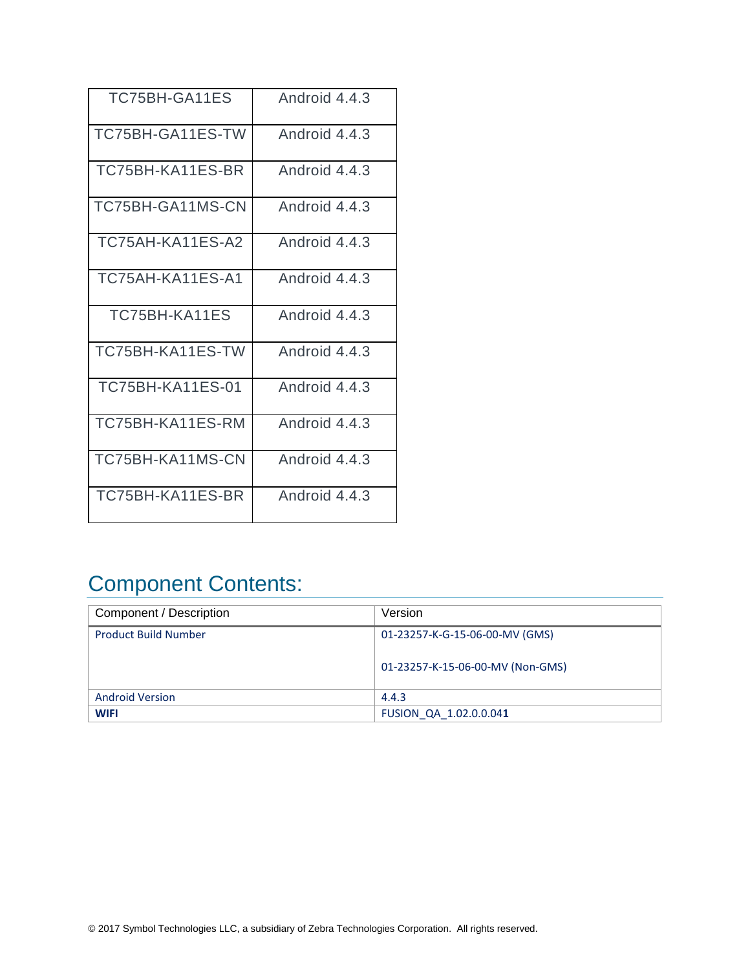| TC75BH-GA11ES           | Android 4.4.3 |
|-------------------------|---------------|
| TC75BH-GA11ES-TW        | Android 4.4.3 |
| TC75BH-KA11ES-BR        | Android 4.4.3 |
| TC75BH-GA11MS-CN        | Android 4.4.3 |
| TC75AH-KA11ES-A2        | Android 4.4.3 |
| TC75AH-KA11ES-A1        | Android 4.4.3 |
| TC75BH-KA11ES           | Android 4.4.3 |
| TC75BH-KA11ES-TW        | Android 4.4.3 |
| <b>TC75BH-KA11ES-01</b> | Android 4.4.3 |
| TC75BH-KA11ES-RM        | Android 4.4.3 |
| TC75BH-KA11MS-CN        | Android 4.4.3 |
| TC75BH-KA11ES-BR        | Android 4.4.3 |

# <span id="page-2-0"></span>Component Contents:

| Component / Description     | Version                          |
|-----------------------------|----------------------------------|
| <b>Product Build Number</b> | 01-23257-K-G-15-06-00-MV (GMS)   |
|                             | 01-23257-K-15-06-00-MV (Non-GMS) |
| <b>Android Version</b>      | 4.4.3                            |
| <b>WIFI</b>                 | FUSION QA 1.02.0.0.041           |